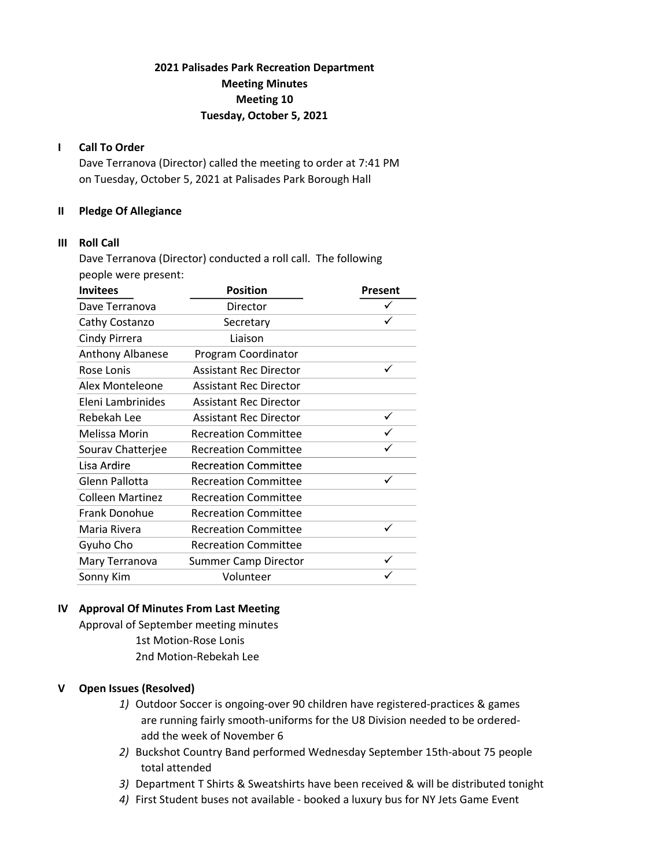# 2021 Palisades Park Recreation Department Meeting Minutes Meeting 10 Tuesday, October 5, 2021

# I Call To Order

Dave Terranova (Director) called the meeting to order at 7:41 PM on Tuesday, October 5, 2021 at Palisades Park Borough Hall

# II Pledge Of Allegiance

#### III Roll Call

Dave Terranova (Director) conducted a roll call. The following people were present:

| <b>Invitees</b>         | <b>Position</b>               | Present |  |
|-------------------------|-------------------------------|---------|--|
| Dave Terranova          | Director                      |         |  |
| Cathy Costanzo          | Secretary                     |         |  |
| Cindy Pirrera           | Liaison                       |         |  |
| <b>Anthony Albanese</b> | Program Coordinator           |         |  |
| Rose Lonis              | <b>Assistant Rec Director</b> |         |  |
| Alex Monteleone         | <b>Assistant Rec Director</b> |         |  |
| Eleni Lambrinides       | <b>Assistant Rec Director</b> |         |  |
| Rebekah Lee             | <b>Assistant Rec Director</b> |         |  |
| Melissa Morin           | <b>Recreation Committee</b>   |         |  |
| Sourav Chatterjee       | <b>Recreation Committee</b>   |         |  |
| Lisa Ardire             | <b>Recreation Committee</b>   |         |  |
| Glenn Pallotta          | <b>Recreation Committee</b>   | ✓       |  |
| <b>Colleen Martinez</b> | <b>Recreation Committee</b>   |         |  |
| <b>Frank Donohue</b>    | <b>Recreation Committee</b>   |         |  |
| Maria Rivera            | <b>Recreation Committee</b>   | ✓       |  |
| Gyuho Cho               | <b>Recreation Committee</b>   |         |  |
| Mary Terranova          | <b>Summer Camp Director</b>   | ✓       |  |
| Sonny Kim               | Volunteer                     |         |  |

# IV Approval Of Minutes From Last Meeting

Approval of September meeting minutes 1st Motion-Rose Lonis 2nd Motion-Rebekah Lee

#### V Open Issues (Resolved)

- 1) Outdoor Soccer is ongoing-over 90 children have registered-practices & games are running fairly smooth-uniforms for the U8 Division needed to be ordered add the week of November 6
- 2) Buckshot Country Band performed Wednesday September 15th-about 75 people total attended
- 3) Department T Shirts & Sweatshirts have been received & will be distributed tonight
- 4) First Student buses not available booked a luxury bus for NY Jets Game Event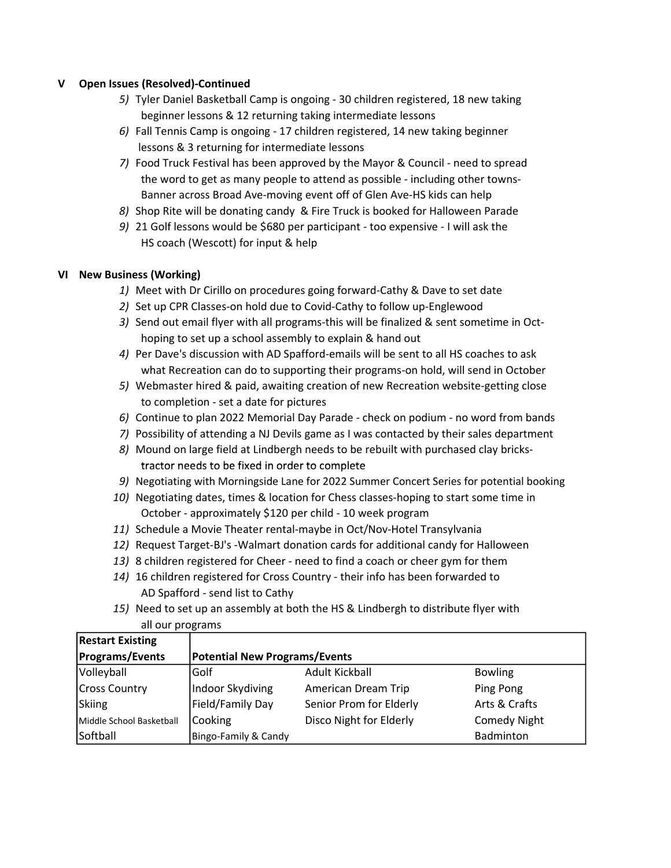# V Open Issues (Resolved)-Continued

- 5) Tyler Daniel Basketball Camp is ongoing 30 children registered, 18 new taking beginner lessons & 12 returning taking intermediate lessons
- 6) Fall Tennis Camp is ongoing 17 children registered, 14 new taking beginner lessons & 3 returning for intermediate lessons
- 7) Food Truck Festival has been approved by the Mayor & Council need to spread the word to get as many people to attend as possible - including other towns- Banner across Broad Ave-moving event off of Glen Ave-HS kids can help
- 8) Shop Rite will be donating candy & Fire Truck is booked for Halloween Parade
- 9) 21 Golf lessons would be \$680 per participant too expensive I will ask the HS coach (Wescott) for input & help

# VI New Business (Working)

- 1) Meet with Dr Cirillo on procedures going forward-Cathy & Dave to set date
- 2) Set up CPR Classes-on hold due to Covid-Cathy to follow up-Englewood
- 3) Send out email flyer with all programs-this will be finalized & sent sometime in Oct hoping to set up a school assembly to explain & hand out
- 4) Per Dave's discussion with AD Spafford-emails will be sent to all HS coaches to ask what Recreation can do to supporting their programs-on hold, will send in October
- 5) Webmaster hired & paid, awaiting creation of new Recreation website-getting close to completion - set a date for pictures
- 6) Continue to plan 2022 Memorial Day Parade check on podium no word from bands
- 7) Possibility of attending a NJ Devils game as I was contacted by their sales department
- 8) Mound on large field at Lindbergh needs to be rebuilt with purchased clay bricks tractor needs to be fixed in order to complete
- 9) Negotiating with Morningside Lane for 2022 Summer Concert Series for potential booking
- 10) Negotiating dates, times & location for Chess classes-hoping to start some time in October - approximately \$120 per child - 10 week program
- 11) Schedule a Movie Theater rental-maybe in Oct/Nov-Hotel Transylvania
- 12) Request Target-BJ's -Walmart donation cards for additional candy for Halloween
- 13) 8 children registered for Cheer need to find a coach or cheer gym for them
- 14) 16 children registered for Cross Country their info has been forwarded to AD Spafford - send list to Cathy
- 15) Need to set up an assembly at both the HS & Lindbergh to distribute flyer with all our programs

| <b>Restart Existing</b>  |                                      |                         |                     |  |
|--------------------------|--------------------------------------|-------------------------|---------------------|--|
| <b>Programs/Events</b>   | <b>Potential New Programs/Events</b> |                         |                     |  |
| Volleyball               | Golf                                 | Adult Kickball          | <b>Bowling</b>      |  |
| <b>Cross Country</b>     | Indoor Skydiving                     | American Dream Trip     | Ping Pong           |  |
| Skiing                   | Field/Family Day                     | Senior Prom for Elderly | Arts & Crafts       |  |
| Middle School Basketball | Cooking                              | Disco Night for Elderly | <b>Comedy Night</b> |  |
| Softball                 | Bingo-Family & Candy                 |                         | Badminton           |  |